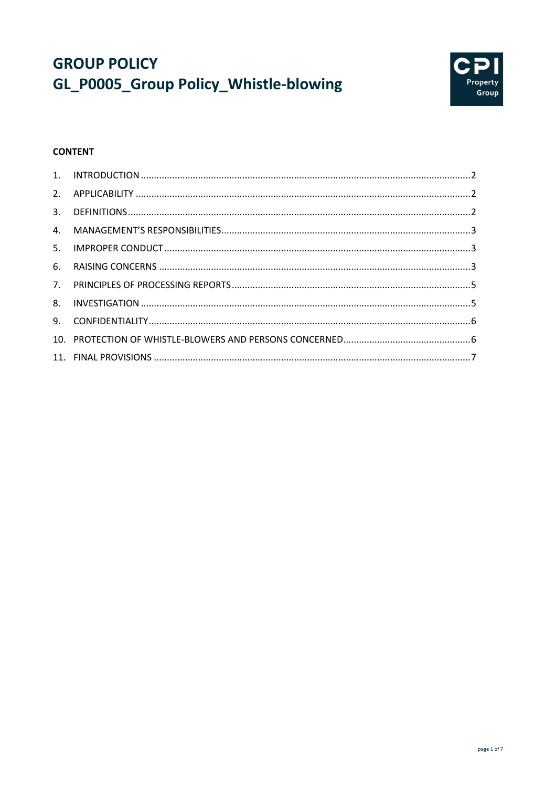# **GROUP POLICY** GL\_P0005\_Group Policy\_Whistle-blowing



# **CONTENT**

| 3. |  |
|----|--|
|    |  |
| 5. |  |
| 6. |  |
|    |  |
|    |  |
|    |  |
|    |  |
|    |  |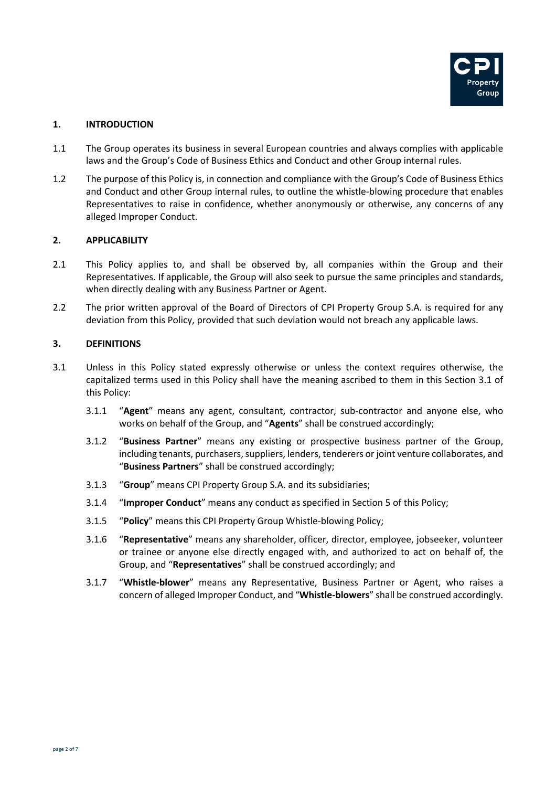

# **1. INTRODUCTION**

- 1.1 The Group operates its business in several European countries and always complies with applicable laws and the Group's Code of Business Ethics and Conduct and other Group internal rules.
- 1.2 The purpose of this Policy is, in connection and compliance with the Group's Code of Business Ethics and Conduct and other Group internal rules, to outline the whistle-blowing procedure that enables Representatives to raise in confidence, whether anonymously or otherwise, any concerns of any alleged Improper Conduct.

# **2. APPLICABILITY**

- 2.1 This Policy applies to, and shall be observed by, all companies within the Group and their Representatives. If applicable, the Group will also seek to pursue the same principles and standards, when directly dealing with any Business Partner or Agent.
- 2.2 The prior written approval of the Board of Directors of CPI Property Group S.A. is required for any deviation from this Policy, provided that such deviation would not breach any applicable laws.

#### **3. DEFINITIONS**

- 3.1 Unless in this Policy stated expressly otherwise or unless the context requires otherwise, the capitalized terms used in this Policy shall have the meaning ascribed to them in this Section 3.1 of this Policy:
	- 3.1.1 "**Agent**" means any agent, consultant, contractor, sub-contractor and anyone else, who works on behalf of the Group, and "**Agents**" shall be construed accordingly;
	- 3.1.2 "**Business Partner**" means any existing or prospective business partner of the Group, including tenants, purchasers, suppliers, lenders, tenderers or joint venture collaborates, and "**Business Partners**" shall be construed accordingly;
	- 3.1.3 "**Group**" means CPI Property Group S.A. and its subsidiaries;
	- 3.1.4 "**Improper Conduct**" means any conduct as specified in Section 5 of this Policy;
	- 3.1.5 "**Policy**" means this CPI Property Group Whistle-blowing Policy;
	- 3.1.6 "**Representative**" means any shareholder, officer, director, employee, jobseeker, volunteer or trainee or anyone else directly engaged with, and authorized to act on behalf of, the Group, and "**Representatives**" shall be construed accordingly; and
	- 3.1.7 "**Whistle-blower**" means any Representative, Business Partner or Agent, who raises a concern of alleged Improper Conduct, and "**Whistle-blowers**" shall be construed accordingly.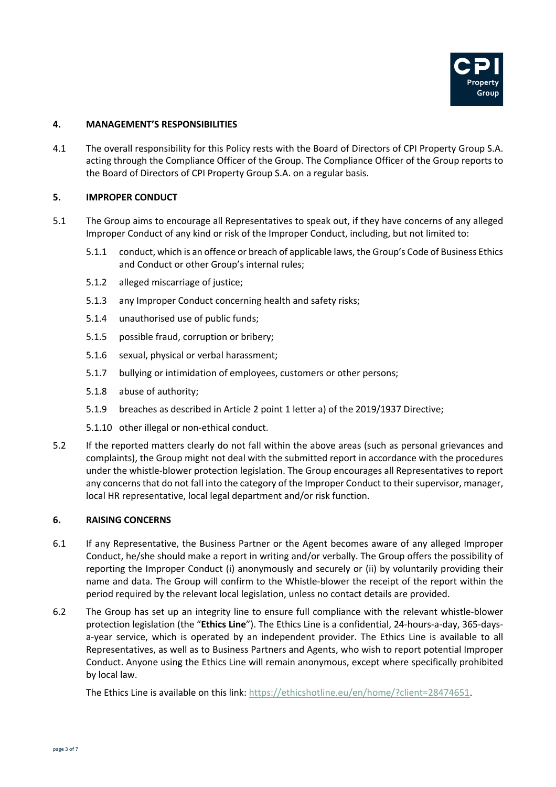

#### **4. MANAGEMENT'S RESPONSIBILITIES**

4.1 The overall responsibility for this Policy rests with the Board of Directors of CPI Property Group S.A. acting through the Compliance Officer of the Group. The Compliance Officer of the Group reports to the Board of Directors of CPI Property Group S.A. on a regular basis.

#### **5. IMPROPER CONDUCT**

- 5.1 The Group aims to encourage all Representatives to speak out, if they have concerns of any alleged Improper Conduct of any kind or risk of the Improper Conduct, including, but not limited to:
	- 5.1.1 conduct, which is an offence or breach of applicable laws, the Group's Code of Business Ethics and Conduct or other Group's internal rules;
	- 5.1.2 alleged miscarriage of justice;
	- 5.1.3 any Improper Conduct concerning health and safety risks;
	- 5.1.4 unauthorised use of public funds;
	- 5.1.5 possible fraud, corruption or bribery;
	- 5.1.6 sexual, physical or verbal harassment;
	- 5.1.7 bullying or intimidation of employees, customers or other persons;
	- 5.1.8 abuse of authority;
	- 5.1.9 breaches as described in Article 2 point 1 letter a) of the 2019/1937 Directive;
	- 5.1.10 other illegal or non-ethical conduct.
- 5.2 If the reported matters clearly do not fall within the above areas (such as personal grievances and complaints), the Group might not deal with the submitted report in accordance with the procedures under the whistle-blower protection legislation. The Group encourages all Representatives to report any concernsthat do not fall into the category of the Improper Conduct to their supervisor, manager, local HR representative, local legal department and/or risk function.

#### **6. RAISING CONCERNS**

- 6.1 If any Representative, the Business Partner or the Agent becomes aware of any alleged Improper Conduct, he/she should make a report in writing and/or verbally. The Group offers the possibility of reporting the Improper Conduct (i) anonymously and securely or (ii) by voluntarily providing their name and data. The Group will confirm to the Whistle-blower the receipt of the report within the period required by the relevant local legislation, unless no contact details are provided.
- 6.2 The Group has set up an integrity line to ensure full compliance with the relevant whistle-blower protection legislation (the "**Ethics Line**"). The Ethics Line is a confidential, 24-hours-a-day, 365-daysa-year service, which is operated by an independent provider. The Ethics Line is available to all Representatives, as well as to Business Partners and Agents, who wish to report potential Improper Conduct. Anyone using the Ethics Line will remain anonymous, except where specifically prohibited by local law.

The Ethics Line is available on this link: https://ethicshotline.eu/en/home/?client=28474651.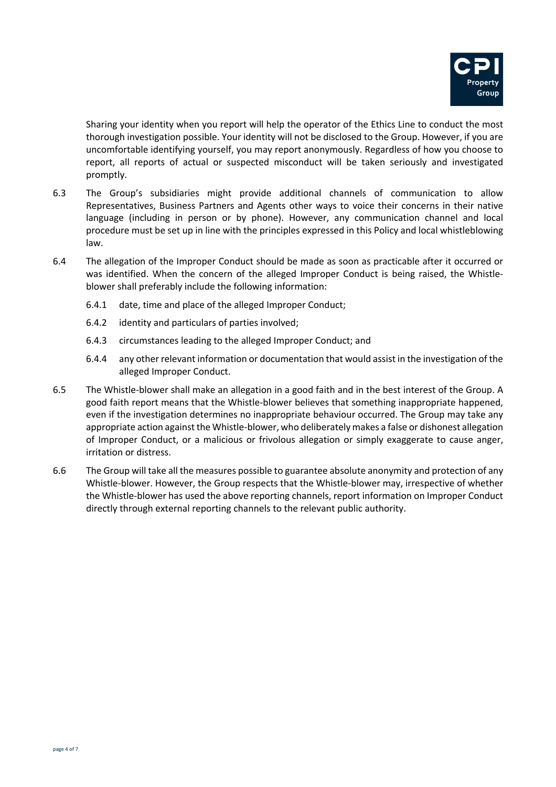

Sharing your identity when you report will help the operator of the Ethics Line to conduct the most thorough investigation possible. Your identity will not be disclosed to the Group. However, if you are uncomfortable identifying yourself, you may report anonymously. Regardless of how you choose to report, all reports of actual or suspected misconduct will be taken seriously and investigated promptly.

- 6.3 The Group's subsidiaries might provide additional channels of communication to allow Representatives, Business Partners and Agents other ways to voice their concerns in their native language (including in person or by phone). However, any communication channel and local procedure must be set up in line with the principles expressed in this Policy and local whistleblowing law.
- 6.4 The allegation of the Improper Conduct should be made as soon as practicable after it occurred or was identified. When the concern of the alleged Improper Conduct is being raised, the Whistleblower shall preferably include the following information:
	- 6.4.1 date, time and place of the alleged Improper Conduct;
	- 6.4.2 identity and particulars of parties involved;
	- 6.4.3 circumstances leading to the alleged Improper Conduct; and
	- 6.4.4 any other relevant information or documentation that would assist in the investigation of the alleged Improper Conduct.
- 6.5 The Whistle-blower shall make an allegation in a good faith and in the best interest of the Group. A good faith report means that the Whistle-blower believes that something inappropriate happened, even if the investigation determines no inappropriate behaviour occurred. The Group may take any appropriate action against the Whistle-blower, who deliberately makes a false or dishonest allegation of Improper Conduct, or a malicious or frivolous allegation or simply exaggerate to cause anger, irritation or distress.
- 6.6 The Group will take all the measures possible to guarantee absolute anonymity and protection of any Whistle-blower. However, the Group respects that the Whistle-blower may, irrespective of whether the Whistle-blower has used the above reporting channels, report information on Improper Conduct directly through external reporting channels to the relevant public authority.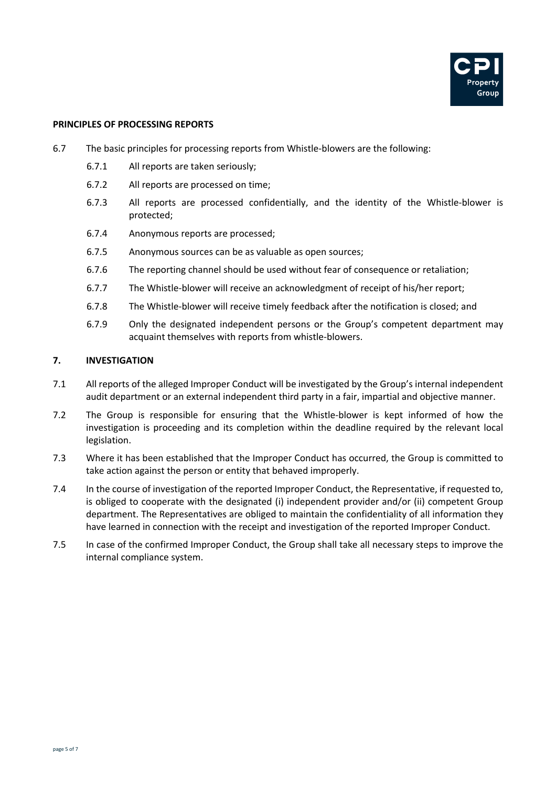

#### **PRINCIPLES OF PROCESSING REPORTS**

- 6.7 The basic principles for processing reports from Whistle-blowers are the following:
	- 6.7.1 All reports are taken seriously;
	- 6.7.2 All reports are processed on time;
	- 6.7.3 All reports are processed confidentially, and the identity of the Whistle-blower is protected;
	- 6.7.4 Anonymous reports are processed;
	- 6.7.5 Anonymous sources can be as valuable as open sources;
	- 6.7.6 The reporting channel should be used without fear of consequence or retaliation;
	- 6.7.7 The Whistle-blower will receive an acknowledgment of receipt of his/her report;
	- 6.7.8 The Whistle-blower will receive timely feedback after the notification is closed; and
	- 6.7.9 Only the designated independent persons or the Group's competent department may acquaint themselves with reports from whistle-blowers.

#### **7. INVESTIGATION**

- 7.1 All reports of the alleged Improper Conduct will be investigated by the Group's internal independent audit department or an external independent third party in a fair, impartial and objective manner.
- 7.2 The Group is responsible for ensuring that the Whistle-blower is kept informed of how the investigation is proceeding and its completion within the deadline required by the relevant local legislation.
- 7.3 Where it has been established that the Improper Conduct has occurred, the Group is committed to take action against the person or entity that behaved improperly.
- 7.4 In the course of investigation of the reported Improper Conduct, the Representative, if requested to, is obliged to cooperate with the designated (i) independent provider and/or (ii) competent Group department. The Representatives are obliged to maintain the confidentiality of all information they have learned in connection with the receipt and investigation of the reported Improper Conduct.
- 7.5 In case of the confirmed Improper Conduct, the Group shall take all necessary steps to improve the internal compliance system.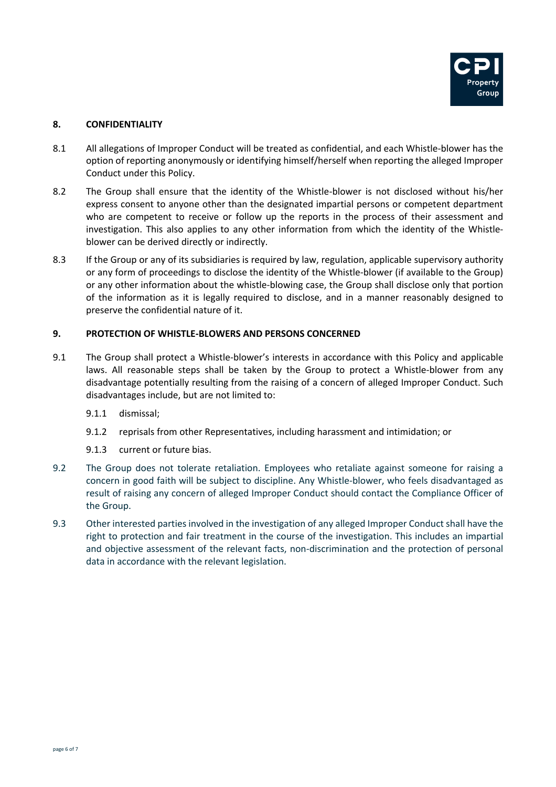

# **8. CONFIDENTIALITY**

- 8.1 All allegations of Improper Conduct will be treated as confidential, and each Whistle-blower has the option of reporting anonymously or identifying himself/herself when reporting the alleged Improper Conduct under this Policy.
- 8.2 The Group shall ensure that the identity of the Whistle-blower is not disclosed without his/her express consent to anyone other than the designated impartial persons or competent department who are competent to receive or follow up the reports in the process of their assessment and investigation. This also applies to any other information from which the identity of the Whistleblower can be derived directly or indirectly.
- 8.3 If the Group or any of its subsidiaries is required by law, regulation, applicable supervisory authority or any form of proceedings to disclose the identity of the Whistle-blower (if available to the Group) or any other information about the whistle-blowing case, the Group shall disclose only that portion of the information as it is legally required to disclose, and in a manner reasonably designed to preserve the confidential nature of it.

# **9. PROTECTION OF WHISTLE-BLOWERS AND PERSONS CONCERNED**

- 9.1 The Group shall protect a Whistle-blower's interests in accordance with this Policy and applicable laws. All reasonable steps shall be taken by the Group to protect a Whistle-blower from any disadvantage potentially resulting from the raising of a concern of alleged Improper Conduct. Such disadvantages include, but are not limited to:
	- 9.1.1 dismissal;
	- 9.1.2 reprisals from other Representatives, including harassment and intimidation; or
	- 9.1.3 current or future bias.
- 9.2 The Group does not tolerate retaliation. Employees who retaliate against someone for raising a concern in good faith will be subject to discipline. Any Whistle-blower, who feels disadvantaged as result of raising any concern of alleged Improper Conduct should contact the Compliance Officer of the Group.
- 9.3 Other interested parties involved in the investigation of any alleged Improper Conduct shall have the right to protection and fair treatment in the course of the investigation. This includes an impartial and objective assessment of the relevant facts, non-discrimination and the protection of personal data in accordance with the relevant legislation.